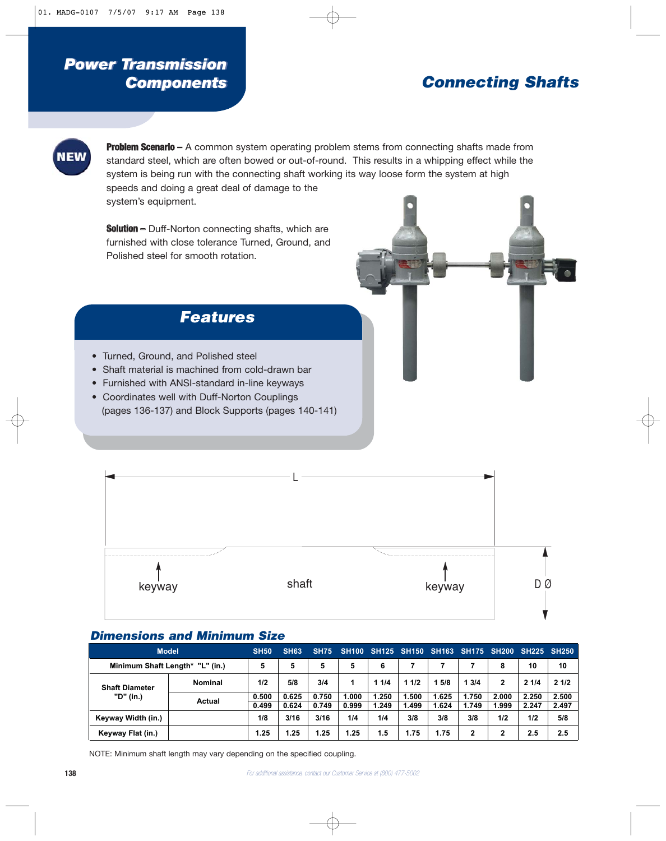## *Power Transmission Power Transmission Components Components*

# **Connecting Shafts**



**Problem Scenario –** A common system operating problem stems from connecting shafts made from standard steel, which are often bowed or out-of-round. This results in a whipping effect while the system is being run with the connecting shaft working its way loose form the system at high speeds and doing a great deal of damage to the system's equipment.

**Solution –** Duff-Norton connecting shafts, which are furnished with close tolerance Turned, Ground, and Polished steel for smooth rotation.

### **Features**

- Turned, Ground, and Polished steel
- Shaft material is machined from cold-drawn bar
- Furnished with ANSI-standard in-line keyways
- Coordinates well with Duff-Norton Couplings (pages 136-137) and Block Supports (pages 140-141)



### **Dimensions and Minimum Size**

| <b>Model</b>                       |                | <b>SH50</b>    | <b>SH63</b>    | <b>SH75</b>    | <b>SH100</b>   |                | <b>SH125 SH150 SH163</b> |                |                | <b>SH175 SH200</b> | <b>SH225 SH250</b> |                |
|------------------------------------|----------------|----------------|----------------|----------------|----------------|----------------|--------------------------|----------------|----------------|--------------------|--------------------|----------------|
| Minimum Shaft Length* "L" (in.)    |                | 5              | 5              | 5              | 5              | 6              |                          |                |                | 8                  | 10                 | 10             |
| <b>Shaft Diameter</b><br>"D" (in.) | <b>Nominal</b> | 1/2            | 5/8            | 3/4            |                | 11/4           | 11/2                     | 5/8            | 13/4           | 2                  | 21/4               | 21/2           |
|                                    | Actual         | 0.500<br>0.499 | 0.625<br>0.624 | 0.750<br>0.749 | 1.000<br>0.999 | 1.250<br>1.249 | .500<br>1.499            | 1.625<br>1.624 | 1.750<br>1.749 | 2.000<br>1.999     | 2.250<br>2.247     | 2.500<br>2.497 |
| Keyway Width (in.)                 |                | 1/8            | 3/16           | 3/16           | 1/4            | 1/4            | 3/8                      | 3/8            | 3/8            | 1/2                | 1/2                | 5/8            |
| Keyway Flat (in.)                  |                | 1.25           | 1.25           | 1.25           | 1.25           | 1.5            | 1.75                     | 1.75           | 2              | 2                  | 2.5                | 2.5            |

NOTE: Minimum shaft length may vary depending on the specified coupling.